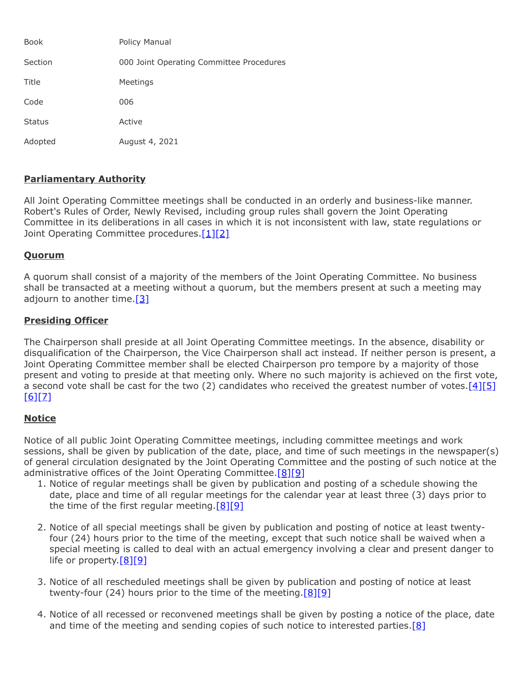| <b>Book</b>   | Policy Manual                            |
|---------------|------------------------------------------|
| Section       | 000 Joint Operating Committee Procedures |
| Title         | Meetings                                 |
| Code          | 006                                      |
| <b>Status</b> | Active                                   |
| Adopted       | August 4, 2021                           |

# **Parliamentary Authority**

All Joint Operating Committee meetings shall be conducted in an orderly and business-like manner. Robert's Rules of Order, Newly Revised, including group rules shall govern the Joint Operating Committee in its deliberations in all cases in which it is not inconsistent with law, state regulations or Joint Operating Committee procedures. [\[1\]](http://www.legis.state.pa.us/cfdocs/legis/LI/uconsCheck.cfm?txtType=HTM&yr=1949&sessInd=0&smthLwInd=0&act=14&chpt=4&sctn=7&subsctn=0)[\[2\]](http://www.legis.state.pa.us/cfdocs/legis/LI/consCheck.cfm?txtType=HTM&ttl=65&div=0&chpt=7)

#### **Quorum**

A quorum shall consist of a majority of the members of the Joint Operating Committee. No business shall be transacted at a meeting without a quorum, but the members present at such a meeting may adjourn to another time. $[3]$ 

### **Presiding Officer**

The Chairperson shall preside at all Joint Operating Committee meetings. In the absence, disability or disqualification of the Chairperson, the Vice Chairperson shall act instead. If neither person is present, a Joint Operating Committee member shall be elected Chairperson pro tempore by a majority of those present and voting to preside at that meeting only. Where no such majority is achieved on the first vote, a second vote shall be cast for the two (2) candidates who received the greatest number of votes. $[4][5]$  $[4][5]$  $[6]$ [\[7\]](http://www.legis.state.pa.us/cfdocs/legis/LI/uconsCheck.cfm?txtType=HTM&yr=1949&sessInd=0&smthLwInd=0&act=14&chpt=4&sctn=28&subsctn=0)

# **Notice**

Notice of all public Joint Operating Committee meetings, including committee meetings and work sessions, shall be given by publication of the date, place, and time of such meetings in the newspaper(s) of general circulation designated by the Joint Operating Committee and the posting of such notice at the administrative offices of the Joint Operating Committee.<sup>[\[8\]](http://www.legis.state.pa.us/cfdocs/legis/LI/consCheck.cfm?txtType=HTM&ttl=65&div=0&chpt=7&sctn=3&subsctn=0)[\[9\]](http://www.legis.state.pa.us/cfdocs/legis/LI/consCheck.cfm?txtType=HTM&ttl=65&div=0&chpt=7&sctn=9&subsctn=0)</sup>

- 1. Notice of regular meetings shall be given by publication and posting of a schedule showing the date, place and time of all regular meetings for the calendar year at least three (3) days prior to the time of the first regular meeting.[\[8\]](http://www.legis.state.pa.us/cfdocs/legis/LI/consCheck.cfm?txtType=HTM&ttl=65&div=0&chpt=7&sctn=3&subsctn=0)[\[9\]](http://www.legis.state.pa.us/cfdocs/legis/LI/consCheck.cfm?txtType=HTM&ttl=65&div=0&chpt=7&sctn=9&subsctn=0)
- 2. Notice of all special meetings shall be given by publication and posting of notice at least twentyfour (24) hours prior to the time of the meeting, except that such notice shall be waived when a special meeting is called to deal with an actual emergency involving a clear and present danger to life or property.<sup>[\[8\]](http://www.legis.state.pa.us/cfdocs/legis/LI/consCheck.cfm?txtType=HTM&ttl=65&div=0&chpt=7&sctn=3&subsctn=0)[\[9\]](http://www.legis.state.pa.us/cfdocs/legis/LI/consCheck.cfm?txtType=HTM&ttl=65&div=0&chpt=7&sctn=9&subsctn=0)</sup>
- 3. Notice of all rescheduled meetings shall be given by publication and posting of notice at least twenty-four (24) hours prior to the time of the meeting. $[8][9]$  $[8][9]$
- 4. Notice of all recessed or reconvened meetings shall be given by posting a notice of the place, date and time of the meeting and sending copies of such notice to interested parties.<sup>[\[8\]](http://www.legis.state.pa.us/cfdocs/legis/LI/consCheck.cfm?txtType=HTM&ttl=65&div=0&chpt=7&sctn=3&subsctn=0)</sup>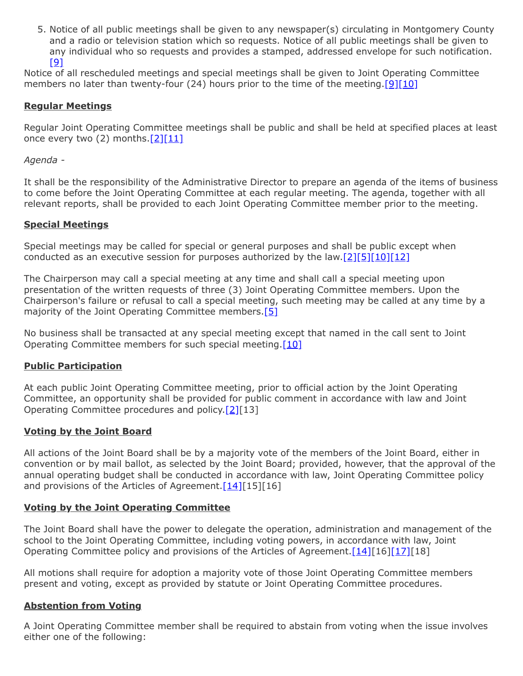5. Notice of all public meetings shall be given to any newspaper(s) circulating in Montgomery County and a radio or television station which so requests. Notice of all public meetings shall be given to any individual who so requests and provides a stamped, addressed envelope for such notification. [\[9\]](http://www.legis.state.pa.us/cfdocs/legis/LI/consCheck.cfm?txtType=HTM&ttl=65&div=0&chpt=7&sctn=9&subsctn=0)

Notice of all rescheduled meetings and special meetings shall be given to Joint Operating Committee members no later than twenty-four (24) hours prior to the time of the meeting.[\[9\]](http://www.legis.state.pa.us/cfdocs/legis/LI/consCheck.cfm?txtType=HTM&ttl=65&div=0&chpt=7&sctn=9&subsctn=0)[\[10\]](http://www.legis.state.pa.us/cfdocs/legis/LI/uconsCheck.cfm?txtType=HTM&yr=1949&sessInd=0&smthLwInd=0&act=14&chpt=4&sctn=23&subsctn=0)

# **Regular Meetings**

Regular Joint Operating Committee meetings shall be public and shall be held at specified places at least once every two (2) months.[\[2\]](http://www.legis.state.pa.us/cfdocs/legis/LI/consCheck.cfm?txtType=HTM&ttl=65&div=0&chpt=7)[\[11\]](http://www.legis.state.pa.us/cfdocs/legis/LI/uconsCheck.cfm?txtType=HTM&yr=1949&sessInd=0&smthLwInd=0&act=14&chpt=4&sctn=21&subsctn=0)

### *Agenda -*

It shall be the responsibility of the Administrative Director to prepare an agenda of the items of business to come before the Joint Operating Committee at each regular meeting. The agenda, together with all relevant reports, shall be provided to each Joint Operating Committee member prior to the meeting.

#### **Special Meetings**

Special meetings may be called for special or general purposes and shall be public except when conducted as an executive session for purposes authorized by the law. $[2][5][10][12]$  $[2][5][10][12]$  $[2][5][10][12]$  $[2][5][10][12]$ 

The Chairperson may call a special meeting at any time and shall call a special meeting upon presentation of the written requests of three (3) Joint Operating Committee members. Upon the Chairperson's failure or refusal to call a special meeting, such meeting may be called at any time by a majority of the Joint Operating Committee members.<sup>[\[5\]](http://www.legis.state.pa.us/cfdocs/legis/LI/uconsCheck.cfm?txtType=HTM&yr=1949&sessInd=0&smthLwInd=0&act=14&chpt=4&sctn=26&subsctn=0)</sup>

No business shall be transacted at any special meeting except that named in the call sent to Joint Operating Committee members for such special meeting.<sup>[\[10\]](http://www.legis.state.pa.us/cfdocs/legis/LI/uconsCheck.cfm?txtType=HTM&yr=1949&sessInd=0&smthLwInd=0&act=14&chpt=4&sctn=23&subsctn=0)</sup>

### **Public Participation**

At each public Joint Operating Committee meeting, prior to official action by the Joint Operating Committee, an opportunity shall be provided for public comment in accordance with law and Joint Operating Committee procedures and policy.[\[2\]](http://www.legis.state.pa.us/cfdocs/legis/LI/consCheck.cfm?txtType=HTM&ttl=65&div=0&chpt=7)[13]

#### **Voting by the Joint Board**

All actions of the Joint Board shall be by a majority vote of the members of the Joint Board, either in convention or by mail ballot, as selected by the Joint Board; provided, however, that the approval of the annual operating budget shall be conducted in accordance with law, Joint Operating Committee policy and provisions of the Articles of Agreement. $[14][15][16]$  $[14][15][16]$ 

### **Voting by the Joint Operating Committee**

The Joint Board shall have the power to delegate the operation, administration and management of the school to the Joint Operating Committee, including voting powers, in accordance with law, Joint Operating Committee policy and provisions of the Articles of Agreement.[\[14\]\[](http://www.legis.state.pa.us/cfdocs/legis/LI/uconsCheck.cfm?txtType=HTM&yr=1949&sessInd=0&smthLwInd=0&act=14&chpt=18&sctn=50&subsctn=1)16][\[17\]\[](http://www.legis.state.pa.us/cfdocs/legis/LI/uconsCheck.cfm?txtType=HTM&yr=1949&sessInd=0&smthLwInd=0&act=14&chpt=18&sctn=50&subsctn=3)18]

All motions shall require for adoption a majority vote of those Joint Operating Committee members present and voting, except as provided by statute or Joint Operating Committee procedures.

### **Abstention from Voting**

A Joint Operating Committee member shall be required to abstain from voting when the issue involves either one of the following: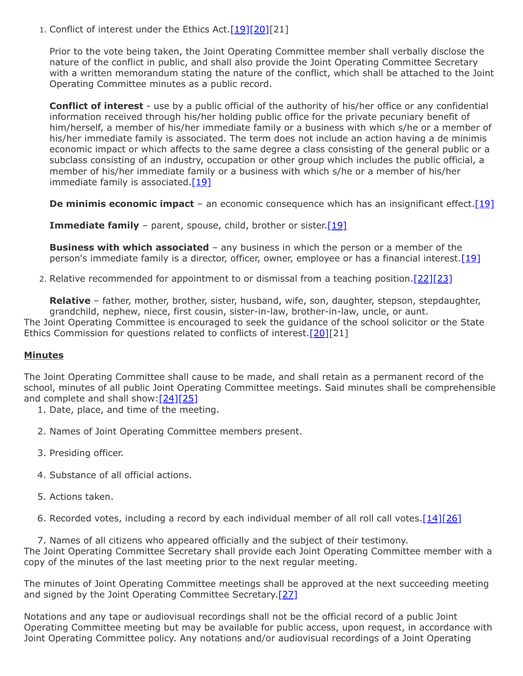1. Conflict of interest under the Ethics Act.[\[19\]](http://www.legis.state.pa.us/cfdocs/legis/LI/consCheck.cfm?txtType=HTM&ttl=65&div=0&chpt=11&sctn=2&subsctn=0)[\[20\]\[](http://www.legis.state.pa.us/cfdocs/legis/LI/consCheck.cfm?txtType=HTM&ttl=65&div=0&chpt=11&sctn=3&subsctn=0)21]

Prior to the vote being taken, the Joint Operating Committee member shall verbally disclose the nature of the conflict in public, and shall also provide the Joint Operating Committee Secretary with a written memorandum stating the nature of the conflict, which shall be attached to the Joint Operating Committee minutes as a public record.

**Conflict of interest** - use by a public official of the authority of his/her office or any confidential information received through his/her holding public office for the private pecuniary benefit of him/herself, a member of his/her immediate family or a business with which s/he or a member of his/her immediate family is associated. The term does not include an action having a de minimis economic impact or which affects to the same degree a class consisting of the general public or a subclass consisting of an industry, occupation or other group which includes the public official, a member of his/her immediate family or a business with which s/he or a member of his/her immediate family is associated. $[19]$ 

**De minimis economic impact** – an economic consequence which has an insignificant effect. [\[19\]](http://www.legis.state.pa.us/cfdocs/legis/LI/consCheck.cfm?txtType=HTM&ttl=65&div=0&chpt=11&sctn=2&subsctn=0)

**Immediate family** – parent, spouse, child, brother or sister. [19]

**Business with which associated** – any business in which the person or a member of the person's immediate family is a director, officer, owner, employee or has a financial interest.<sup>[\[19\]](http://www.legis.state.pa.us/cfdocs/legis/LI/consCheck.cfm?txtType=HTM&ttl=65&div=0&chpt=11&sctn=2&subsctn=0)</sup>

2. Relative recommended for appointment to or dismissal from a teaching position. [\[22\]](http://www.legis.state.pa.us/cfdocs/legis/LI/uconsCheck.cfm?txtType=HTM&yr=1949&sessInd=0&smthLwInd=0&act=14&chpt=11&sctn=11&subsctn=0)[\[23\]](http://www.legis.state.pa.us/cfdocs/legis/LI/uconsCheck.cfm?txtType=HTM&yr=1949&sessInd=0&smthLwInd=0&act=14&chpt=11&sctn=29&subsctn=0)

**Relative** – father, mother, brother, sister, husband, wife, son, daughter, stepson, stepdaughter, grandchild, nephew, niece, first cousin, sister-in-law, brother-in-law, uncle, or aunt. The Joint Operating Committee is encouraged to seek the guidance of the school solicitor or the State Ethics Commission for questions related to conflicts of interest.<sup>[20][21]</sup>

### **Minutes**

The Joint Operating Committee shall cause to be made, and shall retain as a permanent record of the school, minutes of all public Joint Operating Committee meetings. Said minutes shall be comprehensible and complete and shall show: $[24][25]$  $[24][25]$ 

- 1. Date, place, and time of the meeting.
- 2. Names of Joint Operating Committee members present.
- 3. Presiding officer.
- 4. Substance of all official actions.
- 5. Actions taken.
- 6. Recorded votes, including a record by each individual member of all roll call votes.[\[14\]](http://www.legis.state.pa.us/cfdocs/legis/LI/uconsCheck.cfm?txtType=HTM&yr=1949&sessInd=0&smthLwInd=0&act=14&chpt=18&sctn=50&subsctn=1)[\[26\]](http://www.legis.state.pa.us/cfdocs/legis/LI/consCheck.cfm?txtType=HTM&ttl=65&div=0&chpt=7&sctn=5&subsctn=0)

7. Names of all citizens who appeared officially and the subject of their testimony. The Joint Operating Committee Secretary shall provide each Joint Operating Committee member with a copy of the minutes of the last meeting prior to the next regular meeting.

The minutes of Joint Operating Committee meetings shall be approved at the next succeeding meeting and signed by the Joint Operating Committee Secretary.[\[27\]](http://www.legis.state.pa.us/cfdocs/legis/LI/uconsCheck.cfm?txtType=HTM&yr=1949&sessInd=0&smthLwInd=0&act=14&chpt=4&sctn=33&subsctn=0)

Notations and any tape or audiovisual recordings shall not be the official record of a public Joint Operating Committee meeting but may be available for public access, upon request, in accordance with Joint Operating Committee policy. Any notations and/or audiovisual recordings of a Joint Operating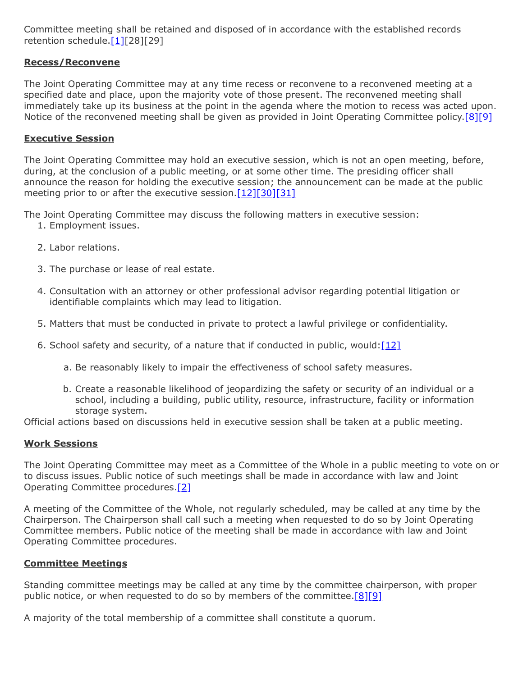Committee meeting shall be retained and disposed of in accordance with the established records retention schedule.<sup>[1][28][29]</sup>

### **Recess/Reconvene**

The Joint Operating Committee may at any time recess or reconvene to a reconvened meeting at a specified date and place, upon the majority vote of those present. The reconvened meeting shall immediately take up its business at the point in the agenda where the motion to recess was acted upon. Notice of the reconvened meeting shall be given as provided in Joint Operating Committee policy[.\[8\]](http://www.legis.state.pa.us/cfdocs/legis/LI/consCheck.cfm?txtType=HTM&ttl=65&div=0&chpt=7&sctn=3&subsctn=0)[\[9\]](http://www.legis.state.pa.us/cfdocs/legis/LI/consCheck.cfm?txtType=HTM&ttl=65&div=0&chpt=7&sctn=9&subsctn=0)

# **Executive Session**

The Joint Operating Committee may hold an executive session, which is not an open meeting, before, during, at the conclusion of a public meeting, or at some other time. The presiding officer shall announce the reason for holding the executive session; the announcement can be made at the public meeting prior to or after the executive session[.\[12\]](http://www.legis.state.pa.us/cfdocs/legis/LI/uconsCheck.cfm?txtType=HTM&yr=1949&sessInd=0&smthLwInd=0&act=14&chpt=4&sctn=25&subsctn=0)[\[30\]](http://www.legis.state.pa.us/cfdocs/legis/LI/consCheck.cfm?txtType=HTM&ttl=65&div=0&chpt=7&sctn=7&subsctn=0)[\[31\]](http://www.legis.state.pa.us/cfdocs/legis/LI/consCheck.cfm?txtType=HTM&ttl=65&div=0&chpt=7&sctn=8&subsctn=0)

The Joint Operating Committee may discuss the following matters in executive session:

- 1. Employment issues.
- 2. Labor relations.
- 3. The purchase or lease of real estate.
- 4. Consultation with an attorney or other professional advisor regarding potential litigation or identifiable complaints which may lead to litigation.
- 5. Matters that must be conducted in private to protect a lawful privilege or confidentiality.
- 6. School safety and security, of a nature that if conducted in public, would: $[12]$ 
	- a. Be reasonably likely to impair the effectiveness of school safety measures.
	- b. Create a reasonable likelihood of jeopardizing the safety or security of an individual or a school, including a building, public utility, resource, infrastructure, facility or information storage system.

Official actions based on discussions held in executive session shall be taken at a public meeting.

### **Work Sessions**

The Joint Operating Committee may meet as a Committee of the Whole in a public meeting to vote on or to discuss issues. Public notice of such meetings shall be made in accordance with law and Joint Operating Committee procedures[.\[2\]](http://www.legis.state.pa.us/cfdocs/legis/LI/consCheck.cfm?txtType=HTM&ttl=65&div=0&chpt=7)

A meeting of the Committee of the Whole, not regularly scheduled, may be called at any time by the Chairperson. The Chairperson shall call such a meeting when requested to do so by Joint Operating Committee members. Public notice of the meeting shall be made in accordance with law and Joint Operating Committee procedures.

### **Committee Meetings**

Standing committee meetings may be called at any time by the committee chairperson, with proper public notice, or when requested to do so by members of the committee. $[8][9]$  $[8][9]$ 

A majority of the total membership of a committee shall constitute a quorum.